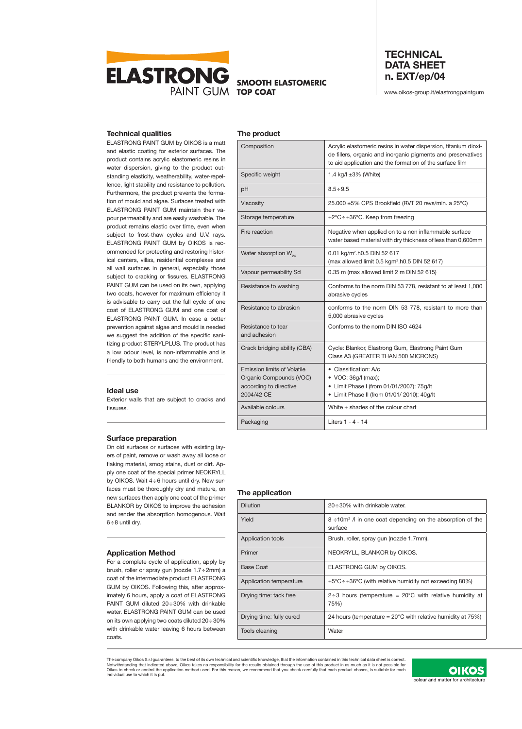

**SMOOTH ELASTOMERIC**

# **TECHNICAL DATA SHEET n. EXT/ep/04**

www.oikos-group.it/elastrongpaintgum

### **Technical qualities**

ELASTRONG PAINT GUM by OIKOS is a matt and elastic coating for exterior surfaces. The product contains acrylic elastomeric resins in water dispersion, giving to the product outstanding elasticity, weatherability, water-repellence, light stability and resistance to pollution. Furthermore, the product prevents the formation of mould and algae. Surfaces treated with ELASTRONG PAINT GUM maintain their vapour permeability and are easily washable. The product remains elastic over time, even when subject to frost-thaw cycles and U.V. rays. ELASTRONG PAINT GUM by OIKOS is recommended for protecting and restoring historical centers, villas, residential complexes and all wall surfaces in general, especially those subject to cracking or fissures. ELASTRONG PAINT GUM can be used on its own, applying two coats, however for maximum efficiency it is advisable to carry out the full cycle of one coat of ELASTRONG GUM and one coat of ELASTRONG PAINT GUM. In case a better prevention against algae and mould is needed we suggest the addition of the specific sanitizing product STERYLPLUS. The product has a low odour level, is non-inflammable and is friendly to both humans and the environment.

#### **Ideal use**

Exterior walls that are subject to cracks and fissures.

#### **Surface preparation**

On old surfaces or surfaces with existing layers of paint, remove or wash away all loose or flaking material, smog stains, dust or dirt. Apply one coat of the special primer NEOKRYLL by OIKOS. Wait 4÷6 hours until dry. New surfaces must be thoroughly dry and mature, on new surfaces then apply one coat of the primer BLANKOR by OIKOS to improve the adhesion and render the absorption homogenous. Wait 6÷8 until dry.

#### **Application Method**

For a complete cycle of application, apply by brush, roller or spray gun (nozzle 1.7÷2mm) a coat of the intermediate product ELASTRONG GUM by OIKOS. Following this, after approximately 6 hours, apply a coat of ELASTRONG PAINT GUM diluted 20÷30% with drinkable water. ELASTRONG PAINT GUM can be used on its own applying two coats diluted 20÷30% with drinkable water leaving 6 hours between coats.

| The product                                                                                           |                                                                                                                                                                                             |
|-------------------------------------------------------------------------------------------------------|---------------------------------------------------------------------------------------------------------------------------------------------------------------------------------------------|
| Composition                                                                                           | Acrylic elastomeric resins in water dispersion, titanium dioxi-<br>de fillers, organic and inorganic pigments and preservatives<br>to aid application and the formation of the surface film |
| Specific weight                                                                                       | 1.4 kg/l ±3% (White)                                                                                                                                                                        |
| рH                                                                                                    | $8.5 \div 9.5$                                                                                                                                                                              |
| <b>Viscosity</b>                                                                                      | 25.000 ±5% CPS Brookfield (RVT 20 revs/min. a 25°C)                                                                                                                                         |
| Storage temperature                                                                                   | +2 $\degree$ C ÷ +36 $\degree$ C. Keep from freezing                                                                                                                                        |
| Fire reaction                                                                                         | Negative when applied on to a non inflammable surface<br>water based material with dry thickness of less than 0,600mm                                                                       |
| Water absorption $W_{24}$                                                                             | 0.01 kg/m <sup>2</sup> .h0.5 DIN 52 617<br>(max allowed limit 0.5 kgm <sup>2</sup> .h0.5 DIN 52 617)                                                                                        |
| Vapour permeability Sd                                                                                | 0.35 m (max allowed limit 2 m DIN 52 615)                                                                                                                                                   |
| Resistance to washing                                                                                 | Conforms to the norm DIN 53 778, resistant to at least 1,000<br>abrasive cycles                                                                                                             |
| Resistance to abrasion                                                                                | conforms to the norm DIN 53 778, resistant to more than<br>5,000 abrasive cycles                                                                                                            |
| Resistance to tear<br>and adhesion                                                                    | Conforms to the norm DIN ISO 4624                                                                                                                                                           |
| Crack bridging ability (CBA)                                                                          | Cycle: Blankor, Elastrong Gum, Elastrong Paint Gum<br>Class A3 (GREATER THAN 500 MICRONS)                                                                                                   |
| <b>Emission limits of Volatile</b><br>Organic Compounds (VOC)<br>according to directive<br>2004/42 CE | • Classification: A/c<br>• VOC: 36g/l (max);<br>• Limit Phase I (from 01/01/2007): 75g/lt<br>• Limit Phase II (from 01/01/ 2010): 40g/lt                                                    |
| Available colours                                                                                     | White + shades of the colour chart                                                                                                                                                          |
| Packaging                                                                                             | Liters 1 - 4 - 14                                                                                                                                                                           |

#### **The application**

| <b>Dilution</b>          | $20 \div 30\%$ with drinkable water.                                              |
|--------------------------|-----------------------------------------------------------------------------------|
| Yield                    | 8 ÷10m <sup>2</sup> / l in one coat depending on the absorption of the<br>surface |
| Application tools        | Brush, roller, spray gun (nozzle 1.7mm).                                          |
| Primer                   | NEOKRYLL, BLANKOR by OIKOS.                                                       |
| Base Coat                | ELASTRONG GUM by OIKOS.                                                           |
| Application temperature  | $+5^{\circ}$ C $\div$ +36°C (with relative humidity not exceeding 80%)            |
| Drying time: tack free   | $2\div 3$ hours (temperature = 20°C with relative humidity at<br>75%)             |
| Drying time: fully cured | 24 hours (temperature = $20^{\circ}$ C with relative humidity at 75%)             |
| Tools cleaning           | Water                                                                             |

The company Oikos S.r.I guarantees, to the best of its own technical and scientific knowledge, that the information contained in this technical data sheet is correct.<br>Notwithstanding that indicated above, Oikos takes no re